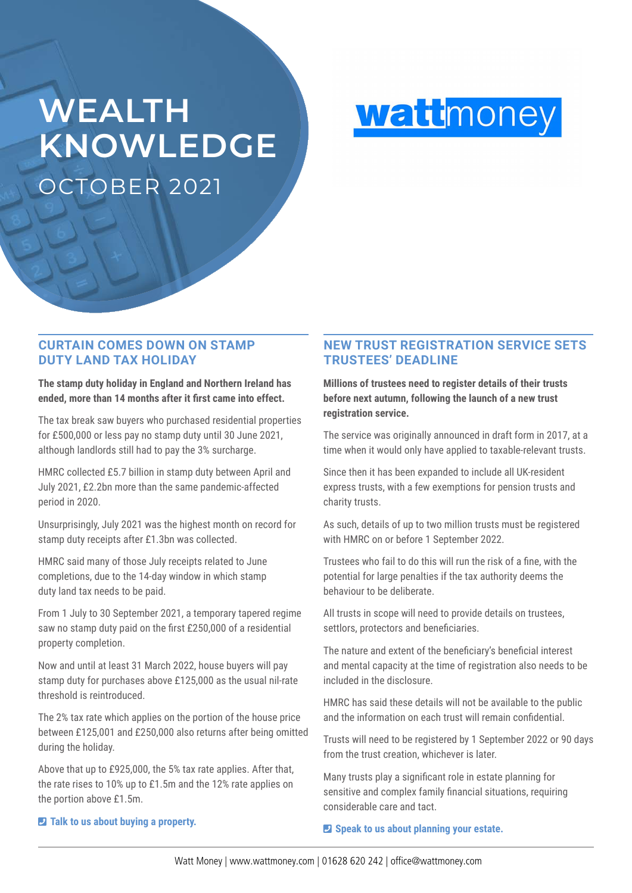# **WEALTH KNOWLEDGE** OCTOBER 2021



## **CURTAIN COMES DOWN ON STAMP DUTY LAND TAX HOLIDAY**

### **The stamp duty holiday in England and Northern Ireland has ended, more than 14 months after it first came into effect.**

The tax break saw buyers who purchased residential properties for £500,000 or less pay no stamp duty until 30 June 2021, although landlords still had to pay the 3% surcharge.

HMRC collected £5.7 billion in stamp duty between April and July 2021, £2.2bn more than the same pandemic-affected period in 2020.

Unsurprisingly, July 2021 was the highest month on record for stamp duty receipts after £1.3bn was collected.

HMRC said many of those July receipts related to June completions, due to the 14-day window in which stamp duty land tax needs to be paid.

From 1 July to 30 September 2021, a temporary tapered regime saw no stamp duty paid on the first £250,000 of a residential property completion.

Now and until at least 31 March 2022, house buyers will pay stamp duty for purchases above £125,000 as the usual nil-rate threshold is reintroduced.

The 2% tax rate which applies on the portion of the house price between £125,001 and £250,000 also returns after being omitted during the holiday.

Above that up to £925,000, the 5% tax rate applies. After that, the rate rises to 10% up to £1.5m and the 12% rate applies on the portion above £1.5m.

# **NEW TRUST REGISTRATION SERVICE SETS TRUSTEES' DEADLINE**

**Millions of trustees need to register details of their trusts before next autumn, following the launch of a new trust registration service.** 

The service was originally announced in draft form in 2017, at a time when it would only have applied to taxable-relevant trusts.

Since then it has been expanded to include all UK-resident express trusts, with a few exemptions for pension trusts and charity trusts.

As such, details of up to two million trusts must be registered with HMRC on or before 1 September 2022.

Trustees who fail to do this will run the risk of a fine, with the potential for large penalties if the tax authority deems the behaviour to be deliberate.

All trusts in scope will need to provide details on trustees, settlors, protectors and beneficiaries.

The nature and extent of the beneficiary's beneficial interest and mental capacity at the time of registration also needs to be included in the disclosure.

HMRC has said these details will not be available to the public and the information on each trust will remain confidential.

Trusts will need to be registered by 1 September 2022 or 90 days from the trust creation, whichever is later.

Many trusts play a significant role in estate planning for sensitive and complex family financial situations, requiring considerable care and tact.

### $\blacksquare$  Speak to us about planning your estate.

### $\blacksquare$  Talk to us about buying a property.